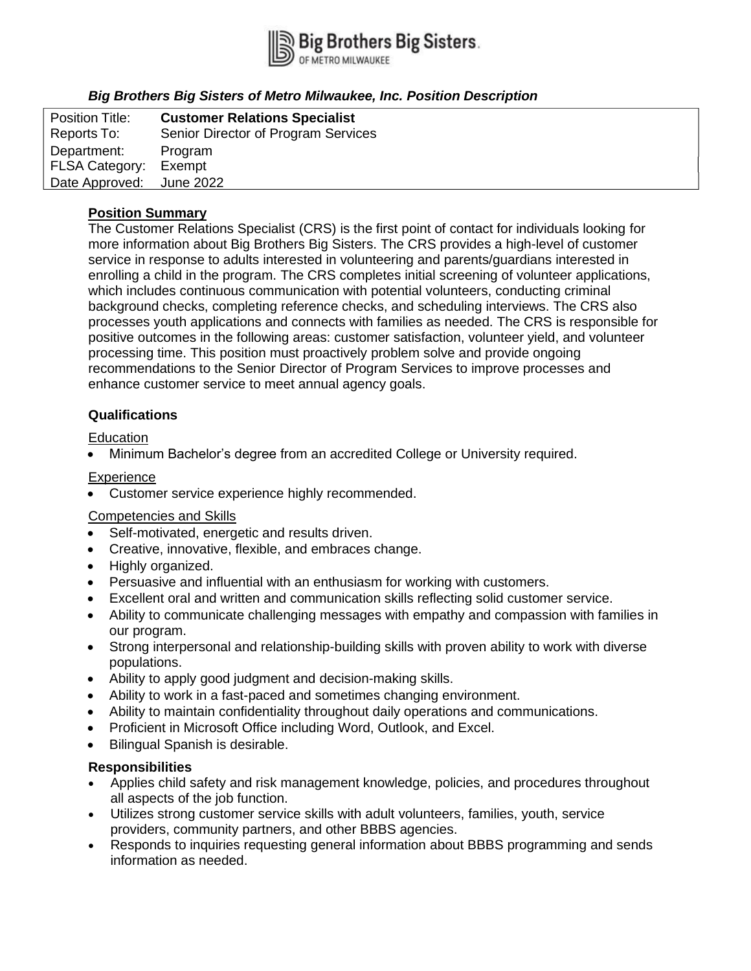

# *Big Brothers Big Sisters of Metro Milwaukee, Inc. Position Description*

| <b>Position Title:</b> | <b>Customer Relations Specialist</b> |
|------------------------|--------------------------------------|
| Reports To:            | Senior Director of Program Services  |
| Department:            | Program                              |
| FLSA Category:         | Exempt                               |
| Date Approved:         | June 2022                            |

## **Position Summary**

The Customer Relations Specialist (CRS) is the first point of contact for individuals looking for more information about Big Brothers Big Sisters. The CRS provides a high-level of customer service in response to adults interested in volunteering and parents/guardians interested in enrolling a child in the program. The CRS completes initial screening of volunteer applications, which includes continuous communication with potential volunteers, conducting criminal background checks, completing reference checks, and scheduling interviews. The CRS also processes youth applications and connects with families as needed. The CRS is responsible for positive outcomes in the following areas: customer satisfaction, volunteer yield, and volunteer processing time. This position must proactively problem solve and provide ongoing recommendations to the Senior Director of Program Services to improve processes and enhance customer service to meet annual agency goals.

## **Qualifications**

### **Education**

• Minimum Bachelor's degree from an accredited College or University required.

### **Experience**

• Customer service experience highly recommended.

## Competencies and Skills

- Self-motivated, energetic and results driven.
- Creative, innovative, flexible, and embraces change.
- Highly organized.
- Persuasive and influential with an enthusiasm for working with customers.
- Excellent oral and written and communication skills reflecting solid customer service.
- Ability to communicate challenging messages with empathy and compassion with families in our program.
- Strong interpersonal and relationship-building skills with proven ability to work with diverse populations.
- Ability to apply good judgment and decision-making skills.
- Ability to work in a fast-paced and sometimes changing environment.
- Ability to maintain confidentiality throughout daily operations and communications.
- Proficient in Microsoft Office including Word, Outlook, and Excel.
- Bilingual Spanish is desirable.

#### **Responsibilities**

- Applies child safety and risk management knowledge, policies, and procedures throughout all aspects of the job function.
- Utilizes strong customer service skills with adult volunteers, families, youth, service providers, community partners, and other BBBS agencies.
- Responds to inquiries requesting general information about BBBS programming and sends information as needed.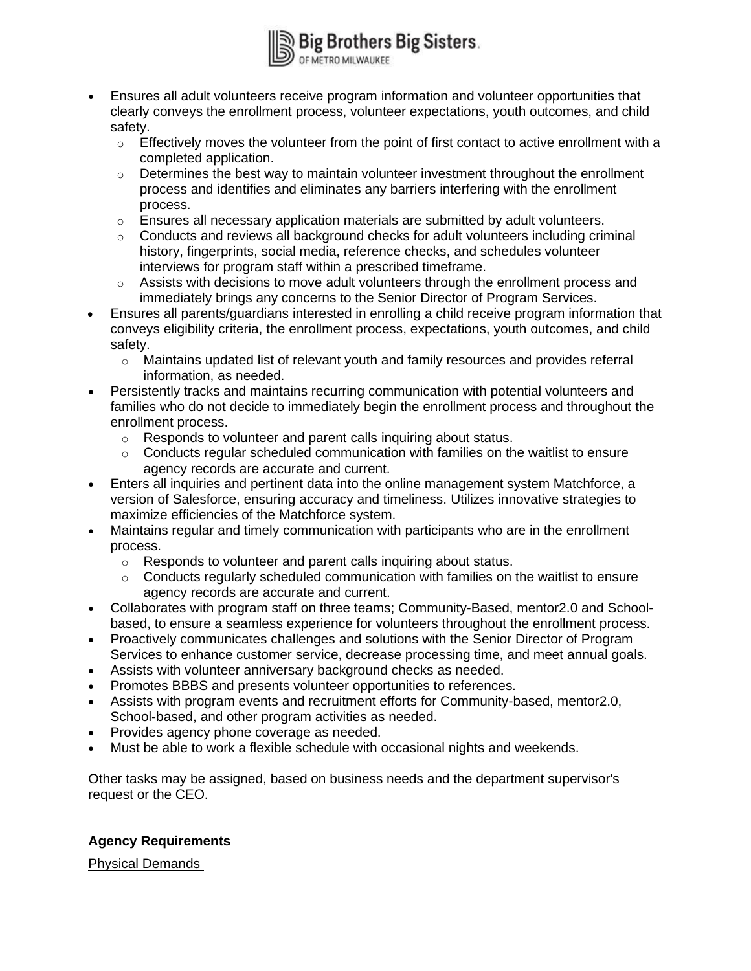

- Ensures all adult volunteers receive program information and volunteer opportunities that clearly conveys the enrollment process, volunteer expectations, youth outcomes, and child safety.
	- $\circ$  Effectively moves the volunteer from the point of first contact to active enrollment with a completed application.
	- $\circ$  Determines the best way to maintain volunteer investment throughout the enrollment process and identifies and eliminates any barriers interfering with the enrollment process.
	- o Ensures all necessary application materials are submitted by adult volunteers.
	- $\circ$  Conducts and reviews all background checks for adult volunteers including criminal history, fingerprints, social media, reference checks, and schedules volunteer interviews for program staff within a prescribed timeframe.
	- o Assists with decisions to move adult volunteers through the enrollment process and immediately brings any concerns to the Senior Director of Program Services.
- Ensures all parents/guardians interested in enrolling a child receive program information that conveys eligibility criteria, the enrollment process, expectations, youth outcomes, and child safety.
	- $\circ$  Maintains updated list of relevant youth and family resources and provides referral information, as needed.
- Persistently tracks and maintains recurring communication with potential volunteers and families who do not decide to immediately begin the enrollment process and throughout the enrollment process.
	- o Responds to volunteer and parent calls inquiring about status.
	- $\circ$  Conducts regular scheduled communication with families on the waitlist to ensure agency records are accurate and current.
- Enters all inquiries and pertinent data into the online management system Matchforce, a version of Salesforce, ensuring accuracy and timeliness. Utilizes innovative strategies to maximize efficiencies of the Matchforce system.
- Maintains regular and timely communication with participants who are in the enrollment process.
	- o Responds to volunteer and parent calls inquiring about status.
	- $\circ$  Conducts regularly scheduled communication with families on the waitlist to ensure agency records are accurate and current.
- Collaborates with program staff on three teams; Community-Based, mentor2.0 and Schoolbased, to ensure a seamless experience for volunteers throughout the enrollment process.
- Proactively communicates challenges and solutions with the Senior Director of Program Services to enhance customer service, decrease processing time, and meet annual goals.
- Assists with volunteer anniversary background checks as needed.
- Promotes BBBS and presents volunteer opportunities to references.
- Assists with program events and recruitment efforts for Community-based, mentor2.0, School-based, and other program activities as needed.
- Provides agency phone coverage as needed.
- Must be able to work a flexible schedule with occasional nights and weekends.

Other tasks may be assigned, based on business needs and the department supervisor's request or the CEO.

## **Agency Requirements**

Physical Demands